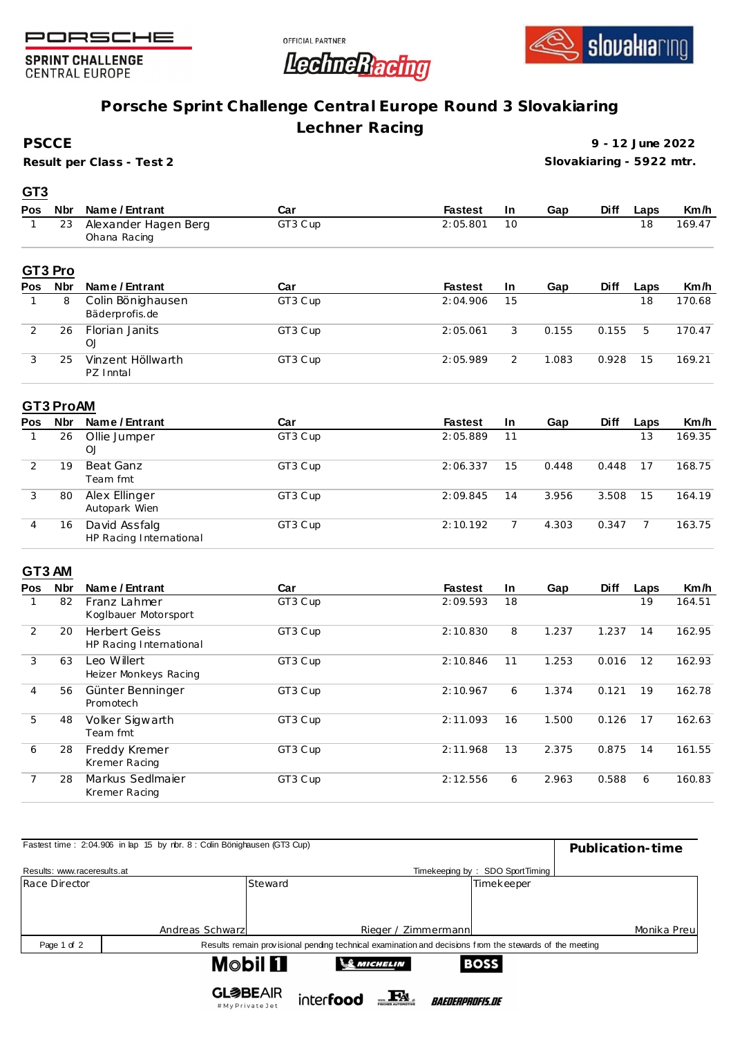





**SPRINT CHALLENGE CENTRAL EUROPE** 

## **Porsche Sprint Challenge Central Europe Round 3 Slovakiaring**

**Lechner Racing**

**PSCCE**

**GT3**

**Result per Class - Test 2**

**9 - 12 June 2022 Slovakiaring - 5922 mtr.**

| Pos           | <b>Nbr</b> | Name / Entrant                       | Car     | <b>Fastest</b> | <u>In</u> | Gap   | <b>Diff</b> | Laps | Km/h   |
|---------------|------------|--------------------------------------|---------|----------------|-----------|-------|-------------|------|--------|
|               | 23         | Alexander Hagen Berg<br>Ohana Racing | GT3 Cup | 2:05.801       | 10        |       |             | 18   | 169.47 |
|               | GT3 Pro    |                                      |         |                |           |       |             |      |        |
| Pos           | <b>Nbr</b> | Name / Entrant                       | Car     | <b>Fastest</b> | <u>In</u> | Gap   | <b>Diff</b> | Laps | Km/h   |
|               | 8          | Colin Bönighausen<br>Bäderprofis.de  | GT3 Cup | 2:04.906       | 15        |       |             | 18   | 170.68 |
| $\mathcal{P}$ | 26         | <b>Florian Janits</b><br>OJ          | GT3 Cup | 2:05.061       | 3         | 0.155 | 0.155       | 5    | 170.47 |
| 3             | 25         | Vinzent Höllwarth<br>PZ Inntal       | GT3 Cup | 2:05.989       | 2         | 1.083 | 0.928       | 15   | 169.21 |

## **GT3 ProAM**

| <b>Pos</b> | <b>Nbr</b> | Name / Entrant                           | Car     | <b>Fastest</b> | <u>In</u> | Gap   | <b>Diff</b> | Laps | Km/h   |
|------------|------------|------------------------------------------|---------|----------------|-----------|-------|-------------|------|--------|
|            | 26         | Ollie Jumper<br>OJ                       | GT3 Cup | 2:05.889       | 11        |       |             | 13   | 169.35 |
|            | 19         | Beat Ganz<br>Team fmt                    | GT3 Cup | 2:06.337       | 15        | 0.448 | 0.448       | 17   | 168.75 |
| 3          | 80         | Alex Ellinger<br>Autopark Wien           | GT3 Cup | 2:09.845       | 14        | 3.956 | 3.508       | 15   | 164.19 |
| 4          | 16         | David Assfalg<br>HP Racing International | GT3 Cup | 2:10.192       |           | 4.303 | 0.347       |      | 163.75 |

## **GT3 AM**

| Pos | <b>Nbr</b> | Name / Entrant                                  | Car     | <b>Fastest</b> | In | Gap   | <b>Diff</b> | Laps | Km/h   |
|-----|------------|-------------------------------------------------|---------|----------------|----|-------|-------------|------|--------|
|     | 82         | Franz Lahmer<br>Koglbauer Motorsport            | GT3 Cup | 2:09.593       | 18 |       |             | 19   | 164.51 |
| 2   | 20         | <b>Herbert Geiss</b><br>HP Racing International | GT3 Cup | 2:10.830       | 8  | 1.237 | 1.237       | 14   | 162.95 |
| 3   | 63         | Leo Willert<br>Heizer Monkeys Racing            | GT3 Cup | 2:10.846       | 11 | 1.253 | 0.016       | 12   | 162.93 |
| 4   | 56         | Günter Benninger<br>Promotech                   | GT3 Cup | 2:10.967       | 6  | 1.374 | 0.121       | 19   | 162.78 |
| 5   | 48         | Volker Sigwarth<br>Team fmt                     | GT3 Cup | 2:11.093       | 16 | 1.500 | 0.126       | 17   | 162.63 |
| 6   | 28         | Freddy Kremer<br>Kremer Racing                  | GT3 Cup | 2:11.968       | 13 | 2.375 | 0.875       | 14   | 161.55 |
|     | 28         | Markus Sedlmajer<br>Kremer Racing               | GT3 Cup | 2:12.556       | 6  | 2.963 | 0.588       | 6    | 160.83 |

| Fastest time: 2:04.906 in lap 15 by rbr. 8 : Colin Bönighausen (GT3 Cup) | Publication-time |                                  |           |                     |                               |                                                                                                         |             |  |  |
|--------------------------------------------------------------------------|------------------|----------------------------------|-----------|---------------------|-------------------------------|---------------------------------------------------------------------------------------------------------|-------------|--|--|
| Results: www.raceresults.at                                              |                  |                                  |           |                     |                               |                                                                                                         |             |  |  |
| Race Director                                                            |                  | Steward                          |           |                     |                               | Timekeeper                                                                                              |             |  |  |
|                                                                          |                  |                                  |           |                     |                               |                                                                                                         |             |  |  |
|                                                                          |                  |                                  |           |                     |                               |                                                                                                         |             |  |  |
|                                                                          | Andreas Schwarz  |                                  |           | Rieger / Zimmermann |                               |                                                                                                         | Monika Preu |  |  |
| Page 1 of 2                                                              |                  |                                  |           |                     |                               | Results remain provisional pending technical examination and decisions from the stewards of the meeting |             |  |  |
| <b>Mobil FI</b><br><b>SO MICHELIN</b><br><b>BOSS</b>                     |                  |                                  |           |                     |                               |                                                                                                         |             |  |  |
|                                                                          |                  | <b>GL参BEAIR</b><br>#MyPrivateJet | interfood |                     | <i><b>BAEDERPROFIS.DE</b></i> |                                                                                                         |             |  |  |